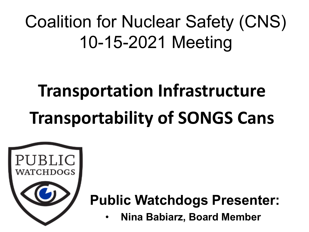Coalition for Nuclear Safety (CNS) 10-15-2021 Meeting

# **Transportation Infrastructure Transportability of SONGS Cans**



#### **Public Watchdogs Presenter:**

• **Nina Babiarz, Board Member**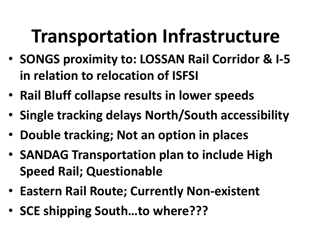# **Transportation Infrastructure**

- **SONGS proximity to: LOSSAN Rail Corridor & I-5 in relation to relocation of ISFSI**
- **Rail Bluff collapse results in lower speeds**
- **Single tracking delays North/South accessibility**
- **Double tracking; Not an option in places**
- **SANDAG Transportation plan to include High Speed Rail; Questionable**
- **Eastern Rail Route; Currently Non-existent**
- **SCE shipping South…to where???**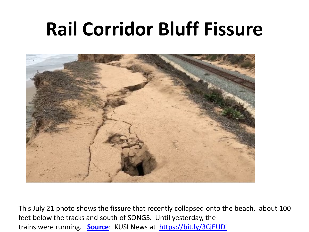### **Rail Corridor Bluff Fissure**



This July 21 photo shows the fissure that recently collapsed onto the beach, about 100 feet below the tracks and south of SONGS. Until yesterday, the trains were running. **[Source](https://na01.safelinks.protection.outlook.com/?url=https%3A%2F%2Fwww.kusi.com%2Fnctd-releases-updated-rail-safety-plans-for-del-mar-sea-bluffs%2F&data=04%7C01%7C%7Cd3fc87d9b15b4001e7ca08d98ffcd82a%7C84df9e7fe9f640afb435aaaaaaaaaaaa%7C1%7C0%7C637699138430406224%7CUnknown%7CTWFpbGZsb3d8eyJWIjoiMC4wLjAwMDAiLCJQIjoiV2luMzIiLCJBTiI6Ik1haWwiLCJXVCI6Mn0%3D%7C1000&sdata=sPlXnH150lhjpAQFmq8Iex%2BM1WvZ2gb5vOUjm3IOlR4%3D&reserved=0)**: KUSI News at [https://bit.ly/3CjEUDi](https://na01.safelinks.protection.outlook.com/?url=https%3A%2F%2Fbit.ly%2F3CjEUDi&data=04%7C01%7C%7Cd3fc87d9b15b4001e7ca08d98ffcd82a%7C84df9e7fe9f640afb435aaaaaaaaaaaa%7C1%7C0%7C637699138430406224%7CUnknown%7CTWFpbGZsb3d8eyJWIjoiMC4wLjAwMDAiLCJQIjoiV2luMzIiLCJBTiI6Ik1haWwiLCJXVCI6Mn0%3D%7C1000&sdata=8R%2BZSPSOIarxytr3cKetFMZ287gcdkHBaMyAZVr1NY8%3D&reserved=0)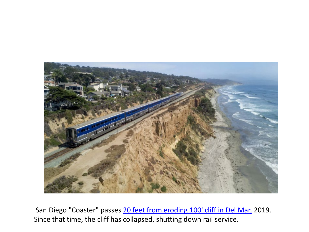

San Diego "Coaster" passes [20 feet from eroding 100' cliff in Del Mar,](https://na01.safelinks.protection.outlook.com/?url=https%3A%2F%2Fwww.delmartimes.net%2Fnews%2Fstory%2F2021-03-06%2Fsignificant-risk-authorities-urge-utmost-caution-along-below-cracking-del-mar-bluffs&data=04%7C01%7C%7Cd3fc87d9b15b4001e7ca08d98ffcd82a%7C84df9e7fe9f640afb435aaaaaaaaaaaa%7C1%7C0%7C637699138430386314%7CUnknown%7CTWFpbGZsb3d8eyJWIjoiMC4wLjAwMDAiLCJQIjoiV2luMzIiLCJBTiI6Ik1haWwiLCJXVCI6Mn0%3D%7C1000&sdata=qCIDC17vix0nUGRvOQjE7FJ7oAAEicyK2eAWNlv77Iw%3D&reserved=0) 2019. Since that time, the cliff has collapsed, shutting down rail service.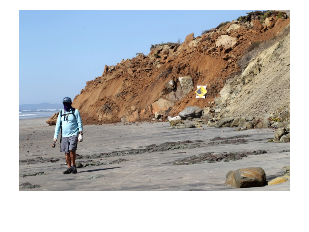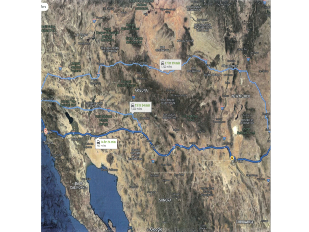![](_page_5_Picture_0.jpeg)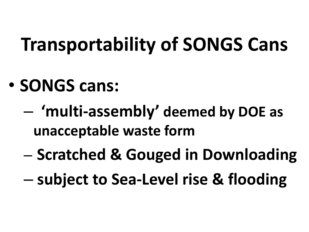# **Transportability of SONGS Cans**

- **SONGS cans:**
	- **'multi-assembly' deemed by DOE as unacceptable waste form**
	- **Scratched & Gouged in Downloading**
	- **subject to Sea-Level rise & flooding**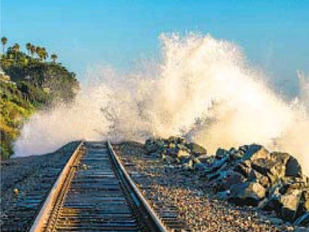![](_page_7_Picture_0.jpeg)